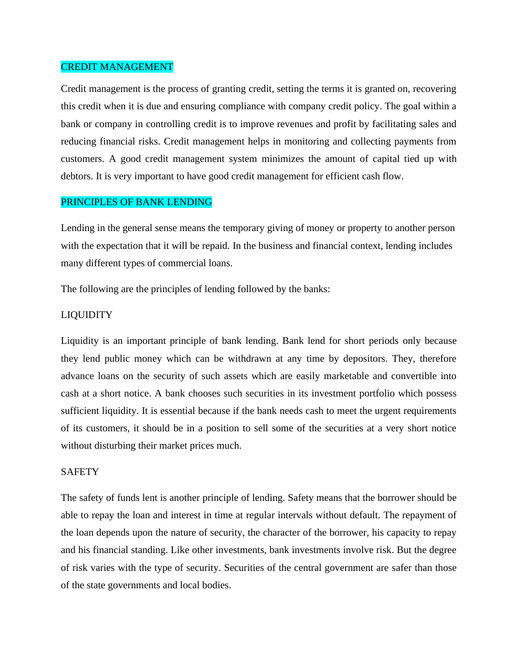### CREDIT MANAGEMENT

Credit management is the process of granting credit, setting the terms it is granted on, recovering this credit when it is due and ensuring compliance with company credit policy. The goal within a bank or company in controlling credit is to improve revenues and profit by facilitating sales and reducing financial risks. Credit management helps in monitoring and collecting payments from customers. A good credit management system minimizes the amount of capital tied up with debtors. It is very important to have good credit management for efficient cash flow.

# PRINCIPLES OF BANK LENDING

Lending in the general sense means the temporary giving of money or property to another person with the expectation that it will be repaid. In the business and financial context, lending includes many different types of commercial loans.

The following are the principles of lending followed by the banks:

#### LIQUIDITY

Liquidity is an important principle of bank lending. Bank lend for short periods only because they lend public money which can be withdrawn at any time by depositors. They, therefore advance loans on the security of such assets which are easily marketable and convertible into cash at a short notice. A bank chooses such securities in its investment portfolio which possess sufficient liquidity. It is essential because if the bank needs cash to meet the urgent requirements of its customers, it should be in a position to sell some of the securities at a very short notice without disturbing their market prices much.

#### **SAFETY**

The safety of funds lent is another principle of lending. Safety means that the borrower should be able to repay the loan and interest in time at regular intervals without default. The repayment of the loan depends upon the nature of security, the character of the borrower, his capacity to repay and his financial standing. Like other investments, bank investments involve risk. But the degree of risk varies with the type of security. Securities of the central government are safer than those of the state governments and local bodies.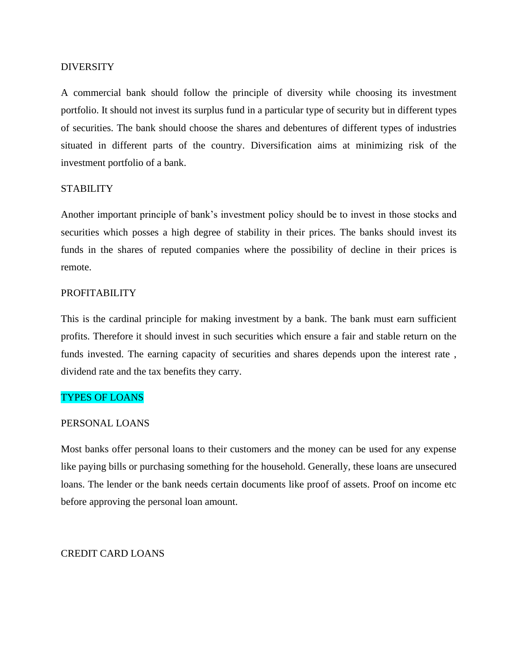### **DIVERSITY**

A commercial bank should follow the principle of diversity while choosing its investment portfolio. It should not invest its surplus fund in a particular type of security but in different types of securities. The bank should choose the shares and debentures of different types of industries situated in different parts of the country. Diversification aims at minimizing risk of the investment portfolio of a bank.

### STABILITY

Another important principle of bank's investment policy should be to invest in those stocks and securities which posses a high degree of stability in their prices. The banks should invest its funds in the shares of reputed companies where the possibility of decline in their prices is remote.

# PROFITABILITY

This is the cardinal principle for making investment by a bank. The bank must earn sufficient profits. Therefore it should invest in such securities which ensure a fair and stable return on the funds invested. The earning capacity of securities and shares depends upon the interest rate , dividend rate and the tax benefits they carry.

#### TYPES OF LOANS

### PERSONAL LOANS

Most banks offer personal loans to their customers and the money can be used for any expense like paying bills or purchasing something for the household. Generally, these loans are unsecured loans. The lender or the bank needs certain documents like proof of assets. Proof on income etc before approving the personal loan amount.

### CREDIT CARD LOANS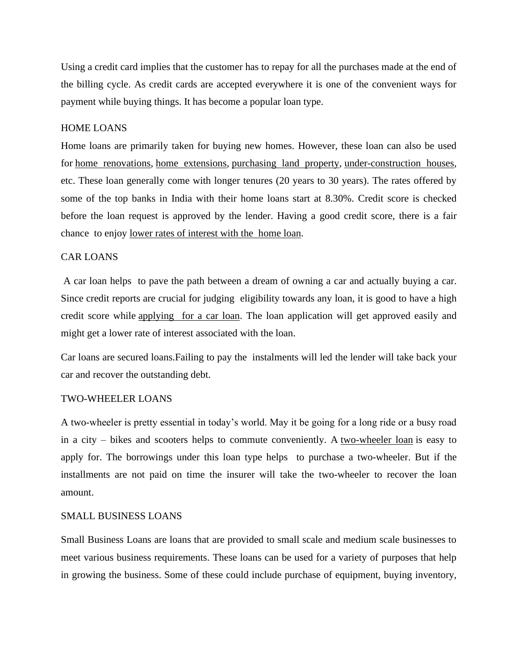Using a credit card implies that the customer has to repay for all the purchases made at the end of the billing cycle. As credit cards are accepted everywhere it is one of the convenient ways for payment while buying things. It has become a popular loan type.

### HOME LOANS

Home loans are primarily taken for buying new homes. However, these loan can also be used for [home renovations,](https://www.bankbazaar.com/home-loan/home-renovation-loan.html) [home extensions,](https://www.bankbazaar.com/home-loan/hdfc-home-extension-loan.html) [purchasing land property,](https://www.bankbazaar.com/home-loan/plot-loan.html) [under-construction houses,](https://www.bankbazaar.com/home-loan/home-construction-loan.html) etc. These loan generally come with longer tenures (20 years to 30 years). The rates offered by some of the top banks in India with their home loans start at 8.30%. Credit score is checked before the loan request is approved by the lender. Having a good credit score, there is a fair chance to enjoy [lower rates of interest with the home loan.](https://www.bankbazaar.com/home-loan-interest-rate.html)

# CAR LOANS

A car loan helps to pave the path between a dream of owning a car and actually buying a car. Since credit reports are crucial for judging eligibility towards any loan, it is good to have a high credit score while [applying for a car loan.](https://www.bankbazaar.com/car-loan.html) The loan application will get approved easily and might get a lower rate of interest associated with the loan.

Car loans are secured loans.Failing to pay the instalments will led the lender will take back your car and recover the outstanding debt.

### TWO-WHEELER LOANS

A two-wheeler is pretty essential in today's world. May it be going for a long ride or a busy road in a city – bikes and scooters helps to commute conveniently. A [two-wheeler loan](https://www.bankbazaar.com/two-wheeler-loan.html) is easy to apply for. The borrowings under this loan type helps to purchase a two-wheeler. But if the installments are not paid on time the insurer will take the two-wheeler to recover the loan amount.

### SMALL BUSINESS LOANS

Small Business Loans are loans that are provided to small scale and medium scale businesses to meet various business requirements. These loans can be used for a variety of purposes that help in growing the business. Some of these could include purchase of equipment, buying inventory,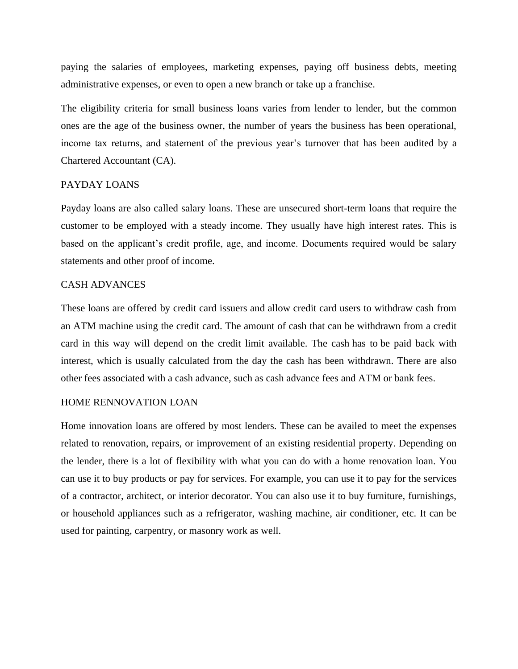paying the salaries of employees, marketing expenses, paying off business debts, meeting administrative expenses, or even to open a new branch or take up a franchise.

The eligibility criteria for small business loans varies from lender to lender, but the common ones are the age of the business owner, the number of years the business has been operational, income tax returns, and statement of the previous year's turnover that has been audited by a Chartered Accountant (CA).

#### PAYDAY LOANS

Payday loans are also called salary loans. These are unsecured short-term loans that require the customer to be employed with a steady income. They usually have high interest rates. This is based on the applicant's credit profile, age, and income. Documents required would be salary statements and other proof of income.

### CASH ADVANCES

These loans are offered by credit card issuers and allow credit card users to withdraw cash from an ATM machine using the credit card. The amount of cash that can be withdrawn from a credit card in this way will depend on the credit limit available. The cash has to be paid back with interest, which is usually calculated from the day the cash has been withdrawn. There are also other fees associated with a cash advance, such as cash advance fees and ATM or bank fees.

### HOME RENNOVATION LOAN

Home innovation loans are offered by most lenders. These can be availed to meet the expenses related to renovation, repairs, or improvement of an existing residential property. Depending on the lender, there is a lot of flexibility with what you can do with a home renovation loan. You can use it to buy products or pay for services. For example, you can use it to pay for the services of a contractor, architect, or interior decorator. You can also use it to buy furniture, furnishings, or household appliances such as a refrigerator, washing machine, air conditioner, etc. It can be used for painting, carpentry, or masonry work as well.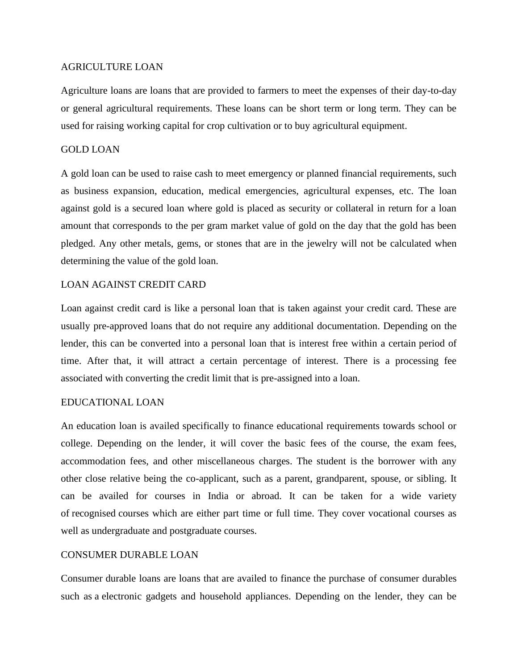# AGRICULTURE LOAN

Agriculture loans are loans that are provided to farmers to meet the expenses of their day-to-day or general agricultural requirements. These loans can be short term or long term. They can be used for raising working capital for crop cultivation or to buy agricultural equipment.

# GOLD LOAN

A gold loan can be used to raise cash to meet emergency or planned financial requirements, such as business expansion, education, medical emergencies, agricultural expenses, etc. The loan against gold is a secured loan where gold is placed as security or collateral in return for a loan amount that corresponds to the per gram market value of gold on the day that the gold has been pledged. Any other metals, gems, or stones that are in the jewelry will not be calculated when determining the value of the gold loan.

# LOAN AGAINST CREDIT CARD

Loan against credit card is like a personal loan that is taken against your credit card. These are usually pre-approved loans that do not require any additional documentation. Depending on the lender, this can be converted into a personal loan that is interest free within a certain period of time. After that, it will attract a certain percentage of interest. There is a processing fee associated with converting the credit limit that is pre-assigned into a loan.

# EDUCATIONAL LOAN

An education loan is availed specifically to finance educational requirements towards school or college. Depending on the lender, it will cover the basic fees of the course, the exam fees, accommodation fees, and other miscellaneous charges. The student is the borrower with any other close relative being the co-applicant, such as a parent, grandparent, spouse, or sibling. It can be availed for courses in India or abroad. It can be taken for a wide variety of recognised courses which are either part time or full time. They cover vocational courses as well as undergraduate and postgraduate courses.

# CONSUMER DURABLE LOAN

Consumer durable loans are loans that are availed to finance the purchase of consumer durables such as a electronic gadgets and household appliances. Depending on the lender, they can be